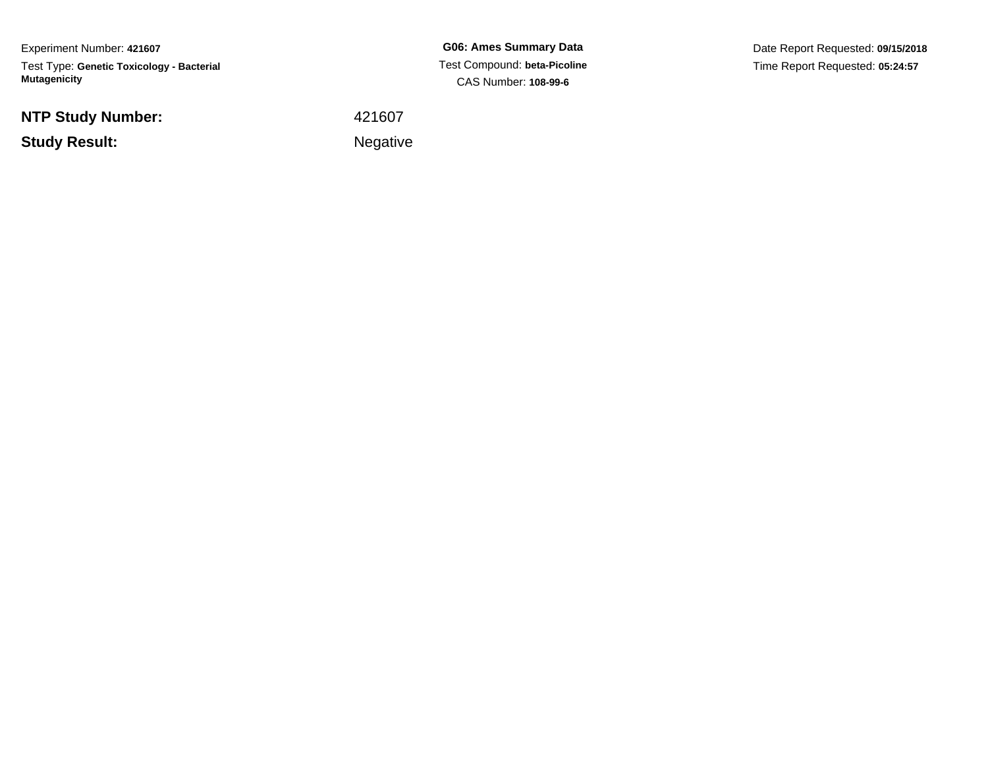Experiment Number: **421607**Test Type: **Genetic Toxicology - Bacterial Mutagenicity**

**NTP Study Number:**

**Study Result:**

**G06: Ames Summary Data** Test Compound: **beta-Picoline**CAS Number: **108-99-6**

Date Report Requested: **09/15/2018**Time Report Requested: **05:24:57**

<sup>421607</sup>

Negative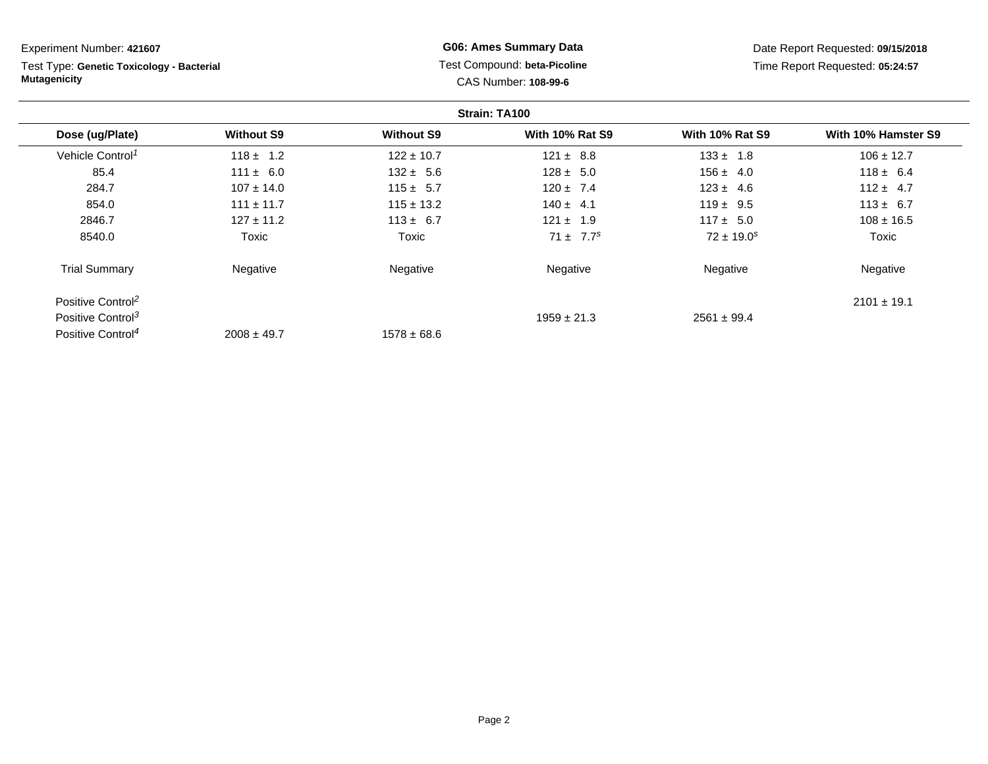Experiment Number: **421607** Test Type: **Genetic Toxicology - Bacterial MutagenicityG06: Ames Summary Data** Test Compound: **beta-Picoline**CAS Number: **108-99-6**

Date Report Requested: **09/15/2018**Time Report Requested: **05:24:57**

| <b>Without S9</b> | <b>With 10% Rat S9</b> | <b>With 10% Rat S9</b> | With 10% Hamster S9 |
|-------------------|------------------------|------------------------|---------------------|
|                   |                        |                        |                     |
| $122 \pm 10.7$    | $121 \pm 8.8$          | $133 \pm 1.8$          | $106 \pm 12.7$      |
| $132 \pm 5.6$     | $128 \pm 5.0$          | $156 \pm 4.0$          | $118 \pm 6.4$       |
| $115 \pm 5.7$     | $120 \pm 7.4$          | $123 \pm 4.6$          | $112 \pm 4.7$       |
| $115 \pm 13.2$    | $140 \pm 4.1$          | $119 \pm 9.5$          | $113 \pm 6.7$       |
| $113 \pm 6.7$     | $121 \pm 1.9$          | $117 \pm 5.0$          | $108 \pm 16.5$      |
| Toxic             | $71 \pm 7.7^s$         | $72 \pm 19.0^s$        | Toxic               |
| Negative          | Negative               | Negative               | Negative            |
|                   |                        |                        | $2101 \pm 19.1$     |
|                   | $1959 \pm 21.3$        | $2561 \pm 99.4$        |                     |
| $1578 \pm 68.6$   |                        |                        |                     |
|                   |                        |                        |                     |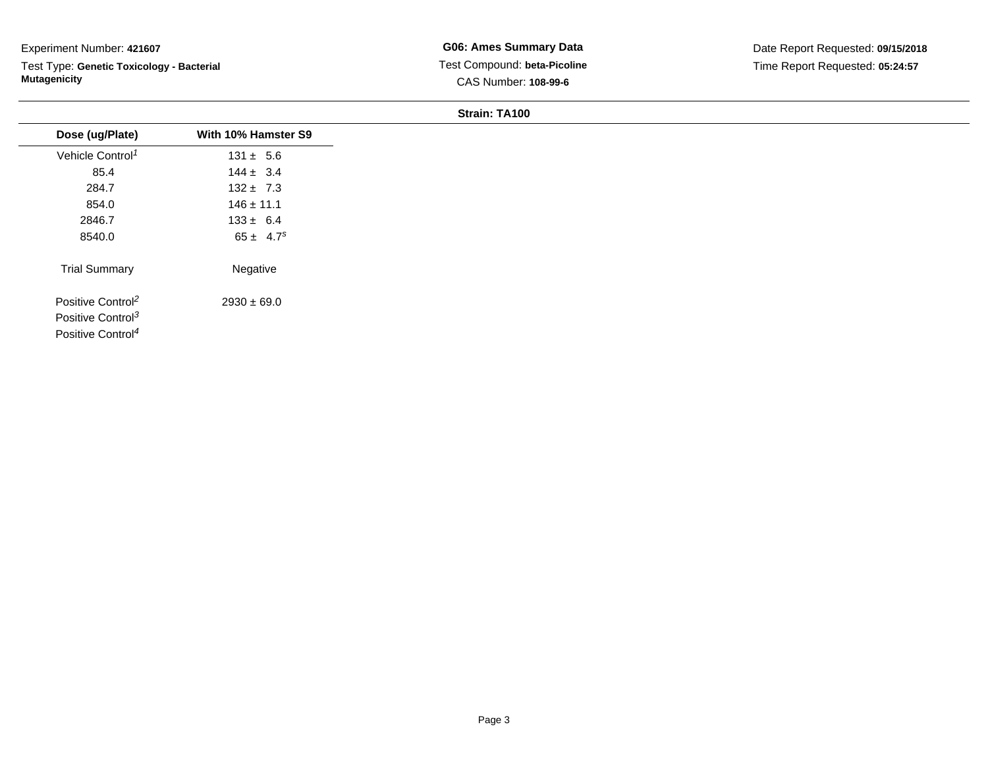Test Type: **Genetic Toxicology - Bacterial Mutagenicity**

| $131 \pm 5.6$             |
|---------------------------|
| $144 \pm 3.4$             |
| $132 \pm 7.3$             |
| $146 \pm 11.1$            |
| $133 \pm 6.4$             |
| $65 \pm 4.7$ <sup>s</sup> |
| Negative                  |
| $2930 \pm 69.0$           |
|                           |
|                           |
|                           |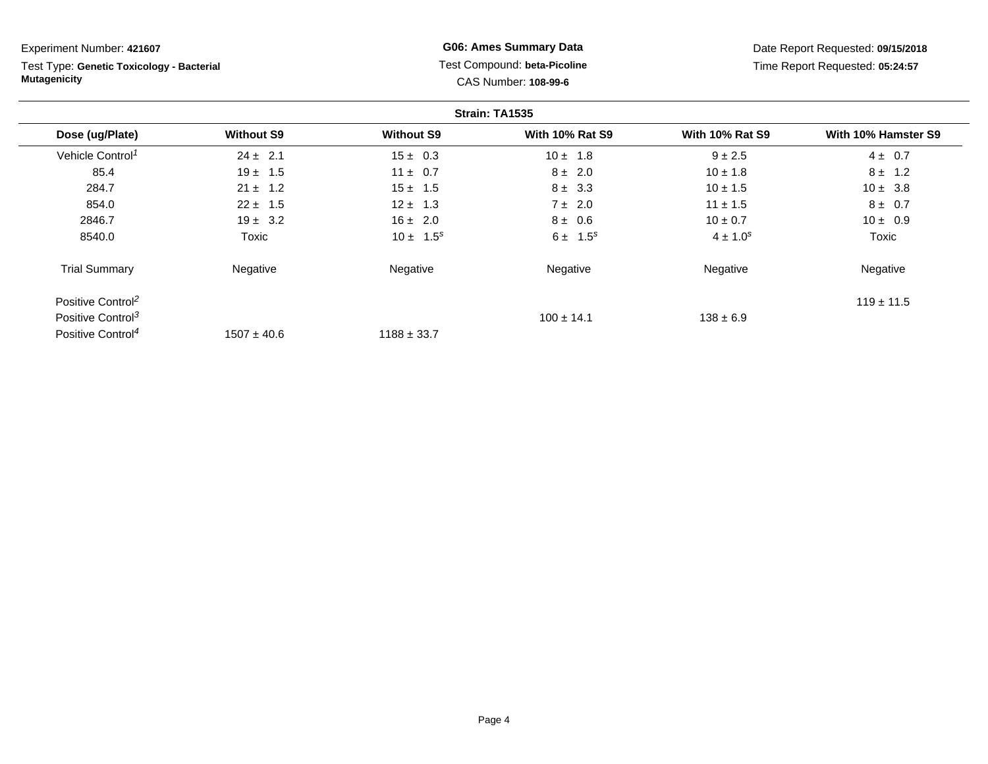Test Type: **Genetic Toxicology - Bacterial Mutagenicity**

**G06: Ames Summary Data** Test Compound: **beta-Picoline**CAS Number: **108-99-6**

Date Report Requested: **09/15/2018**Time Report Requested: **05:24:57**

|                               |                   |                   | Strain: TA1535         |                        |                     |
|-------------------------------|-------------------|-------------------|------------------------|------------------------|---------------------|
| Dose (ug/Plate)               | <b>Without S9</b> | <b>Without S9</b> | <b>With 10% Rat S9</b> | <b>With 10% Rat S9</b> | With 10% Hamster S9 |
| Vehicle Control <sup>1</sup>  | $24 \pm 2.1$      | $15 \pm 0.3$      | $10 \pm 1.8$           | $9 + 2.5$              | $4 \pm 0.7$         |
| 85.4                          | $19 \pm 1.5$      | $11 \pm 0.7$      | $8 \pm 2.0$            | $10 \pm 1.8$           | $8 \pm 1.2$         |
| 284.7                         | $21 \pm 1.2$      | $15 \pm 1.5$      | $8 \pm 3.3$            | $10 \pm 1.5$           | $10 \pm 3.8$        |
| 854.0                         | $22 \pm 1.5$      | $12 \pm 1.3$      | $7 \pm 2.0$            | $11 \pm 1.5$           | $8 \pm 0.7$         |
| 2846.7                        | $19 \pm 3.2$      | $16 \pm 2.0$      | $8 \pm 0.6$            | $10 \pm 0.7$           | $10 \pm 0.9$        |
| 8540.0                        | Toxic             | $10 \pm 1.5^s$    | $6 \pm 1.5^s$          | $4 \pm 1.0^{s}$        | Toxic               |
| <b>Trial Summary</b>          | Negative          | Negative          | Negative               | Negative               | Negative            |
| Positive Control <sup>2</sup> |                   |                   |                        |                        | $119 \pm 11.5$      |
| Positive Control <sup>3</sup> |                   |                   | $100 \pm 14.1$         | $138 \pm 6.9$          |                     |
| Positive Control <sup>4</sup> | $1507 \pm 40.6$   | $1188 \pm 33.7$   |                        |                        |                     |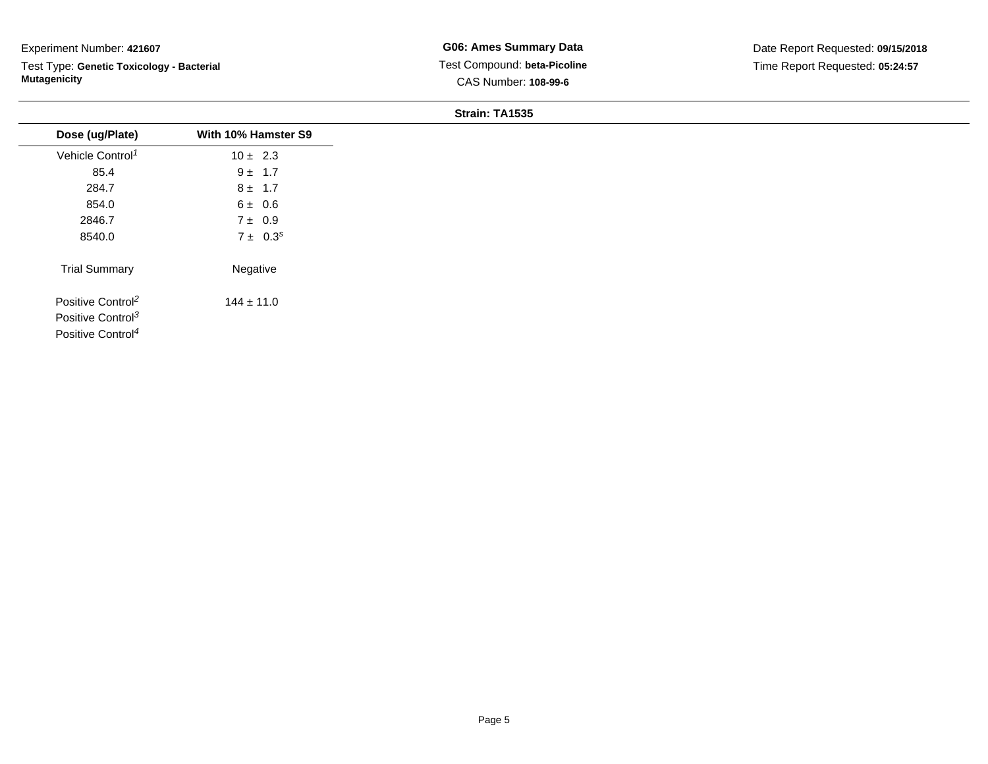Test Type: **Genetic Toxicology - Bacterial Mutagenicity**

| Dose (ug/Plate)               | With 10% Hamster S9 |
|-------------------------------|---------------------|
| Vehicle Control <sup>1</sup>  | $10 \pm 2.3$        |
| 85.4                          | $9 \pm 1.7$         |
| 284.7                         | $8 \pm 1.7$         |
| 854.0                         | 6 ± 0.6             |
| 2846.7                        | $7 \pm 0.9$         |
| 8540.0                        | $7 \pm 0.3^s$       |
| <b>Trial Summary</b>          | Negative            |
| Positive Control <sup>2</sup> | $144 \pm 11.0$      |
| Positive Control <sup>3</sup> |                     |
| Positive Control <sup>4</sup> |                     |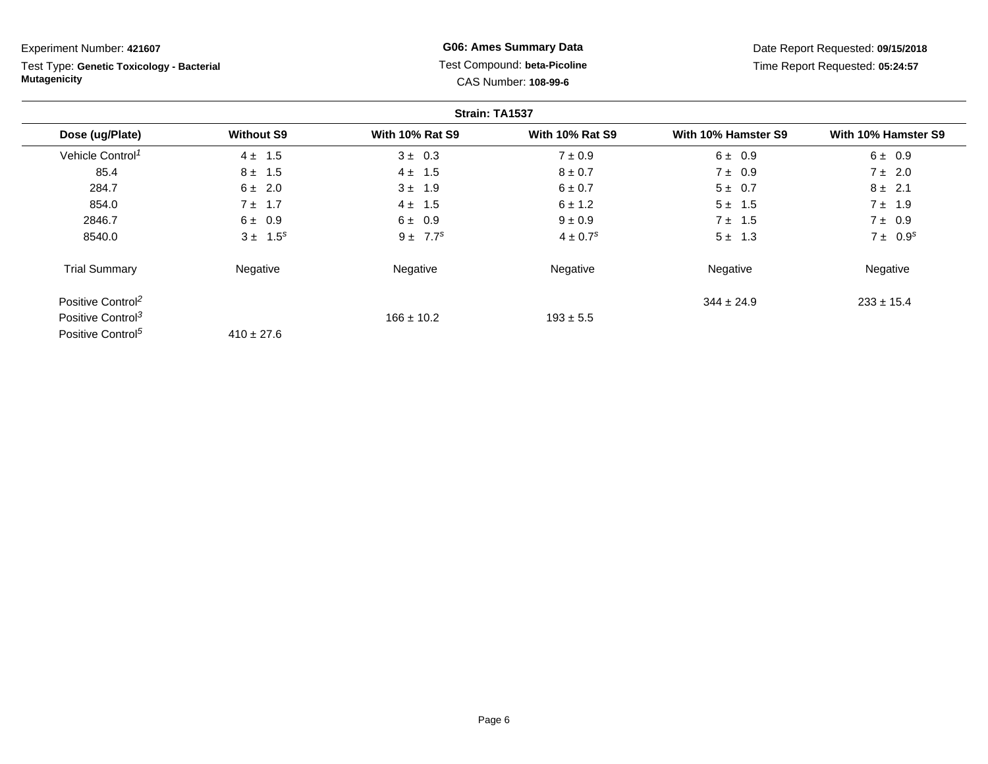Test Type: **Genetic Toxicology - Bacterial Mutagenicity**

**G06: Ames Summary Data** Test Compound: **beta-Picoline**CAS Number: **108-99-6**

Date Report Requested: **09/15/2018**Time Report Requested: **05:24:57**

|                               |                   |                        | Strain: TA1537           |                     |                     |
|-------------------------------|-------------------|------------------------|--------------------------|---------------------|---------------------|
| Dose (ug/Plate)               | <b>Without S9</b> | <b>With 10% Rat S9</b> | <b>With 10% Rat S9</b>   | With 10% Hamster S9 | With 10% Hamster S9 |
| Vehicle Control <sup>1</sup>  | $4 \pm 1.5$       | $3 \pm 0.3$            | $7 \pm 0.9$              | $6 \pm 0.9$         | $6 \pm 0.9$         |
| 85.4                          | $8 \pm 1.5$       | $4 \pm 1.5$            | $8 \pm 0.7$              | $7 \pm 0.9$         | 7 ± 2.0             |
| 284.7                         | $6 \pm 2.0$       | $3 \pm 1.9$            | $6 \pm 0.7$              | $5 \pm 0.7$         | $8 \pm 2.1$         |
| 854.0                         | $7 \pm 1.7$       | $4 \pm 1.5$            | $6 \pm 1.2$              | $5 \pm 1.5$         | $7 + 1.9$           |
| 2846.7                        | $6 \pm 0.9$       | $6 \pm 0.9$            | $9 \pm 0.9$              | $7 \pm 1.5$         | $7 \pm 0.9$         |
| 8540.0                        | $3 \pm 1.5^s$     | $9 \pm 7.7^s$          | $4 \pm 0.7$ <sup>s</sup> | $5 \pm 1.3$         | $7 \pm 0.9^s$       |
| <b>Trial Summary</b>          | Negative          | Negative               | Negative                 | Negative            | Negative            |
| Positive Control <sup>2</sup> |                   |                        |                          | $344 \pm 24.9$      | $233 \pm 15.4$      |
| Positive Control <sup>3</sup> |                   | $166 \pm 10.2$         | $193 \pm 5.5$            |                     |                     |
| Positive Control <sup>5</sup> | $410 \pm 27.6$    |                        |                          |                     |                     |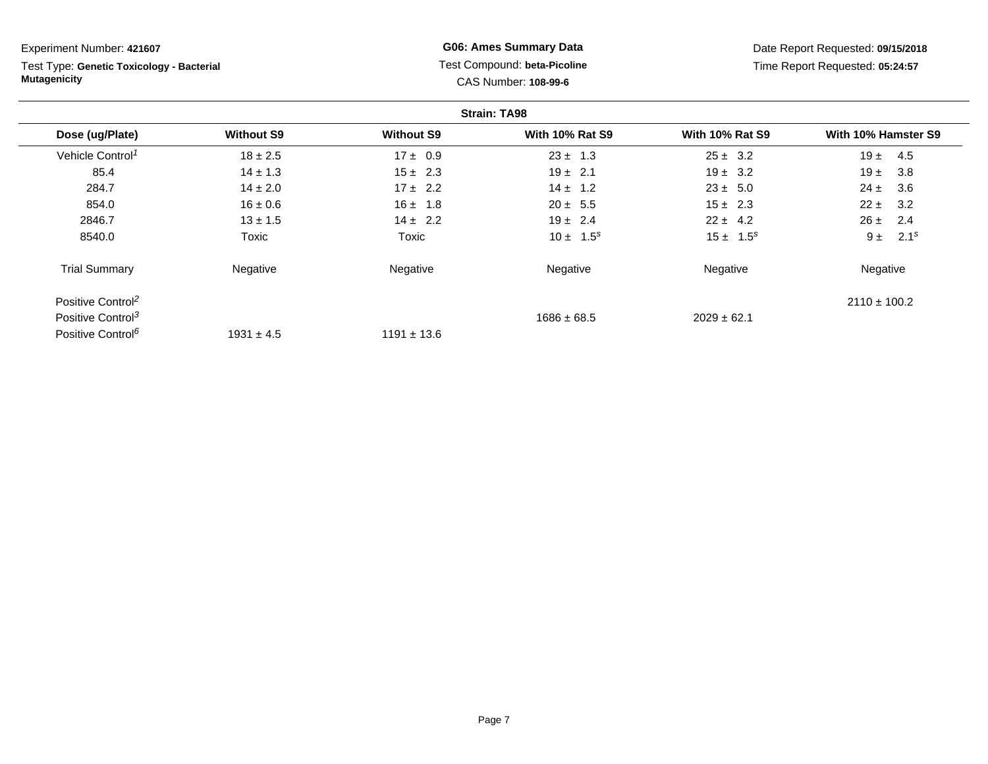Experiment Number: **421607**Test Type: **Genetic Toxicology - Bacterial Mutagenicity**

### **G06: Ames Summary Data** Test Compound: **beta-Picoline**CAS Number: **108-99-6**

Date Report Requested: **09/15/2018**Time Report Requested: **05:24:57**

|                               |                   |                   | <b>Strain: TA98</b>    |                        |                             |
|-------------------------------|-------------------|-------------------|------------------------|------------------------|-----------------------------|
| Dose (ug/Plate)               | <b>Without S9</b> | <b>Without S9</b> | <b>With 10% Rat S9</b> | <b>With 10% Rat S9</b> | With 10% Hamster S9         |
| Vehicle Control <sup>1</sup>  | $18 \pm 2.5$      | $17 \pm 0.9$      | $23 \pm 1.3$           | $25 \pm 3.2$           | 19±<br>4.5                  |
| 85.4                          | $14 \pm 1.3$      | $15 \pm 2.3$      | $19 \pm 2.1$           | $19 \pm 3.2$           | 19±<br>3.8                  |
| 284.7                         | $14 \pm 2.0$      | $17 \pm 2.2$      | $14 \pm 1.2$           | $23 \pm 5.0$           | $24 \pm$<br>3.6             |
| 854.0                         | $16 \pm 0.6$      | $16 \pm 1.8$      | $20 \pm 5.5$           | $15 \pm 2.3$           | $22 \pm$<br>3.2             |
| 2846.7                        | $13 \pm 1.5$      | $14 \pm 2.2$      | $19 \pm 2.4$           | $22 \pm 4.2$           | $26 \pm$<br>2.4             |
| 8540.0                        | Toxic             | Toxic             | $10 \pm 1.5^s$         | $15 \pm 1.5^s$         | 2.1 <sup>s</sup><br>$9 \pm$ |
| <b>Trial Summary</b>          | Negative          | Negative          | Negative               | Negative               | Negative                    |
| Positive Control <sup>2</sup> |                   |                   |                        |                        | $2110 \pm 100.2$            |
| Positive Control <sup>3</sup> |                   |                   | $1686 \pm 68.5$        | $2029 \pm 62.1$        |                             |
| Positive Control <sup>6</sup> | $1931 \pm 4.5$    | $1191 \pm 13.6$   |                        |                        |                             |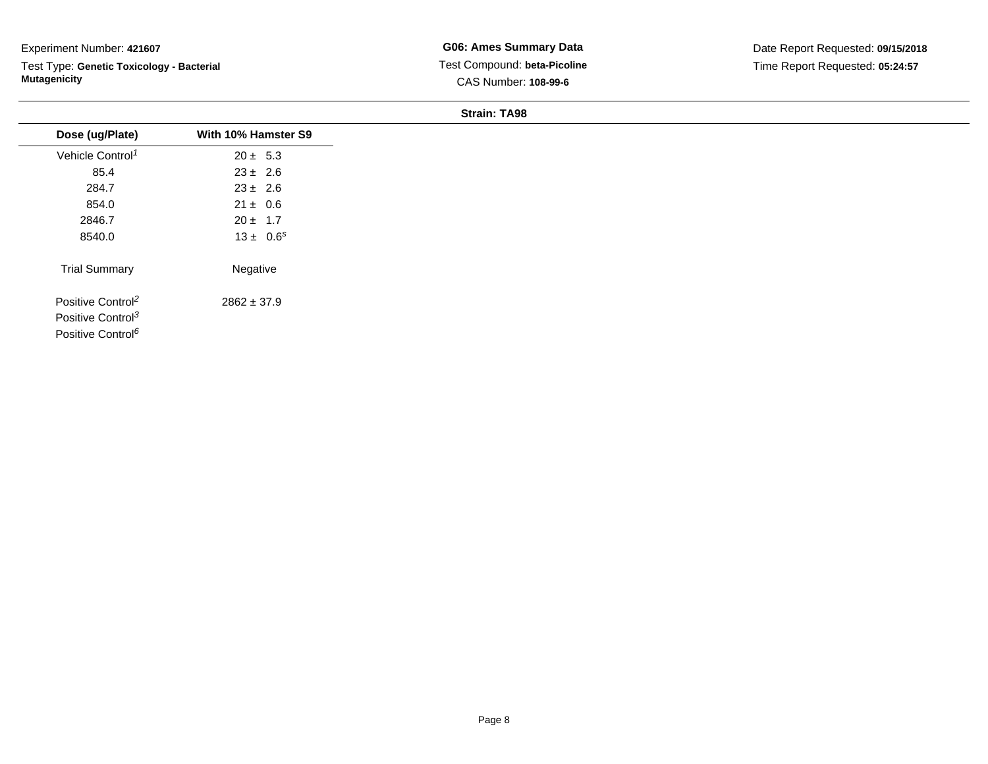Test Type: **Genetic Toxicology - Bacterial Mutagenicity**

**G06: Ames Summary Data** Test Compound: **beta-Picoline**CAS Number: **108-99-6**

| Dose (ug/Plate)               | With 10% Hamster S9 |
|-------------------------------|---------------------|
| Vehicle Control <sup>1</sup>  | $20 \pm 5.3$        |
| 85.4                          | $23 \pm 2.6$        |
| 284.7                         | $23 \pm 2.6$        |
| 854.0                         | $21 \pm 0.6$        |
| 2846.7                        | $20 \pm 1.7$        |
| 8540.0                        | $13 \pm 0.6^s$      |
| <b>Trial Summary</b>          | Negative            |
| Positive Control <sup>2</sup> | $2862 \pm 37.9$     |
| Positive Control <sup>3</sup> |                     |
| Positive Control <sup>6</sup> |                     |